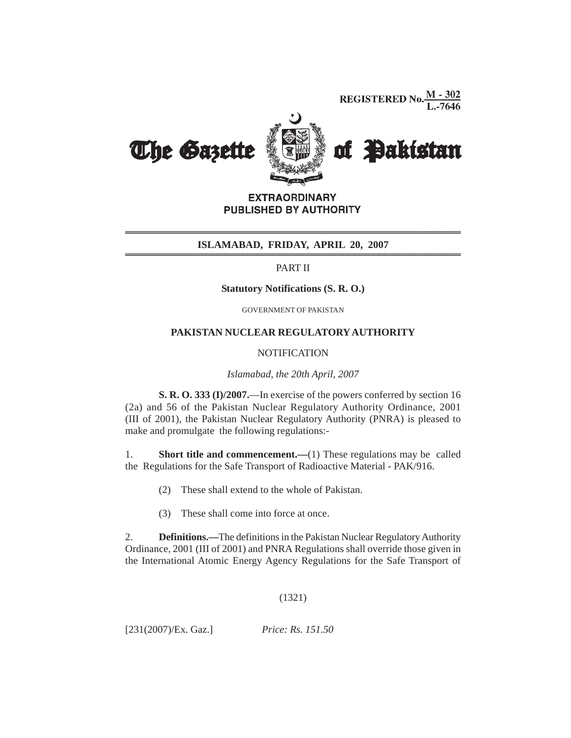**REGISTERED No.**  $\frac{M - 302}{L - 7646}$ 



**EXTRAORDINARY** PUBLISHED BY AUTHORITY

# **ISLAMABAD, FRIDAY, APRIL 20, 2007 \_\_\_\_\_\_\_\_\_\_\_\_\_\_\_\_\_\_\_\_\_\_\_\_\_\_\_\_\_\_\_\_\_\_\_\_\_\_\_\_\_\_\_\_\_\_\_\_\_\_\_\_\_\_\_\_\_\_\_\_\_\_\_\_\_\_ \_\_\_\_\_\_\_\_\_\_\_\_\_\_\_\_\_\_\_\_\_\_\_\_\_\_\_\_\_\_\_\_\_\_\_\_\_\_\_\_\_\_\_\_\_\_\_\_\_\_\_\_\_\_\_\_\_\_\_\_\_\_\_\_\_\_ \_\_\_\_\_\_\_\_\_\_\_\_\_\_\_\_\_\_\_\_\_\_\_\_\_\_\_\_\_\_\_\_\_\_\_\_\_\_\_\_\_\_\_\_\_\_\_\_\_\_\_\_\_\_\_\_\_\_\_\_\_\_\_\_\_\_ \_\_\_\_\_\_\_\_\_\_\_\_\_\_\_\_\_\_\_\_\_\_\_\_\_\_\_\_\_\_\_\_\_\_\_\_\_\_\_\_\_\_\_\_\_\_\_\_\_\_\_\_\_\_\_\_\_\_\_\_\_\_\_\_\_\_**

PART II

### **Statutory Notifications (S. R. O.)**

GOVERNMENT OF PAKISTAN

### **PAKISTAN NUCLEAR REGULATORY AUTHORITY**

## **NOTIFICATION**

#### *Islamabad, the 20th April, 2007*

**S. R. O. 333 (I)/2007.**—In exercise of the powers conferred by section 16 (2a) and 56 of the Pakistan Nuclear Regulatory Authority Ordinance, 2001 (III of 2001), the Pakistan Nuclear Regulatory Authority (PNRA) is pleased to make and promulgate the following regulations:-

1. **Short title and commencement.** (1) These regulations may be called the Regulations for the Safe Transport of Radioactive Material - PAK/916.

- (2) These shall extend to the whole of Pakistan.
- (3) These shall come into force at once.

2. **Definitions.—**The definitions in the Pakistan Nuclear Regulatory Authority Ordinance, 2001 (III of 2001) and PNRA Regulations shall override those given in the International Atomic Energy Agency Regulations for the Safe Transport of

## (1321)

[231(2007)/Ex. Gaz.] *Price: Rs. 151.50*